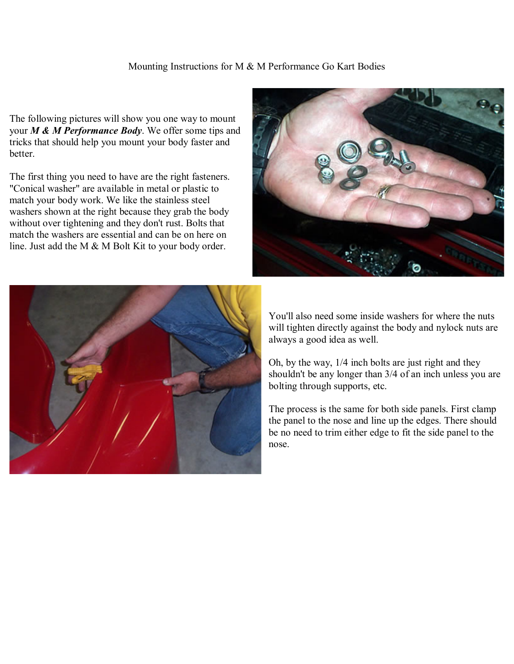## Mounting Instructions for M & M Performance Go Kart Bodies

The following pictures will show you one way to mount your *M & M Performance Body*. We offer some tips and tricks that should help you mount your body faster and better.

The first thing you need to have are the right fasteners. "Conical washer" are available in metal or plastic to match your body work. We like the stainless steel washers shown at the right because they grab the body without over tightening and they don't rust. Bolts that match the washers are essential and can be on here on line. Just add the M & M Bolt Kit to your body order.





You'll also need some inside washers for where the nuts will tighten directly against the body and nylock nuts are always a good idea as well.

Oh, by the way, 1/4 inch bolts are just right and they shouldn't be any longer than 3/4 of an inch unless you are bolting through supports, etc.

The process is the same for both side panels. First clamp the panel to the nose and line up the edges. There should be no need to trim either edge to fit the side panel to the nose.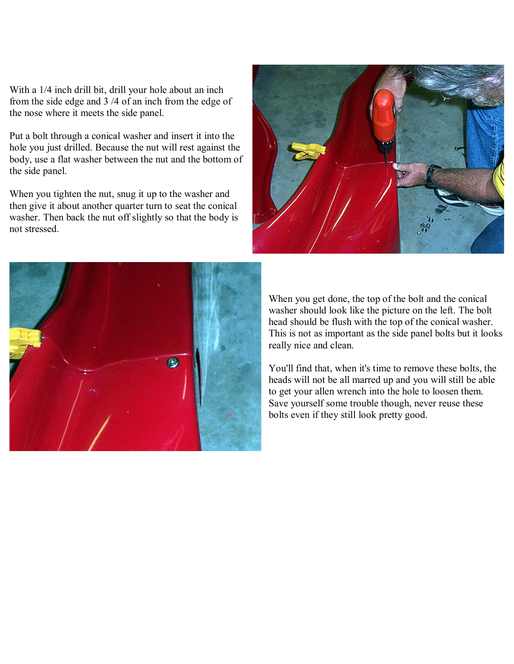With a 1/4 inch drill bit, drill your hole about an inch from the side edge and 3 /4 of an inch from the edge of the nose where it meets the side panel.

Put a bolt through a conical washer and insert it into the hole you just drilled. Because the nut will rest against the body, use a flat washer between the nut and the bottom of the side panel.

When you tighten the nut, snug it up to the washer and then give it about another quarter turn to seat the conical washer. Then back the nut off slightly so that the body is not stressed.





When you get done, the top of the bolt and the conical washer should look like the picture on the left. The bolt head should be flush with the top of the conical washer. This is not as important as the side panel bolts but it looks really nice and clean.

You'll find that, when it's time to remove these bolts, the heads will not be all marred up and you will still be able to get your allen wrench into the hole to loosen them. Save yourself some trouble though, never reuse these bolts even if they still look pretty good.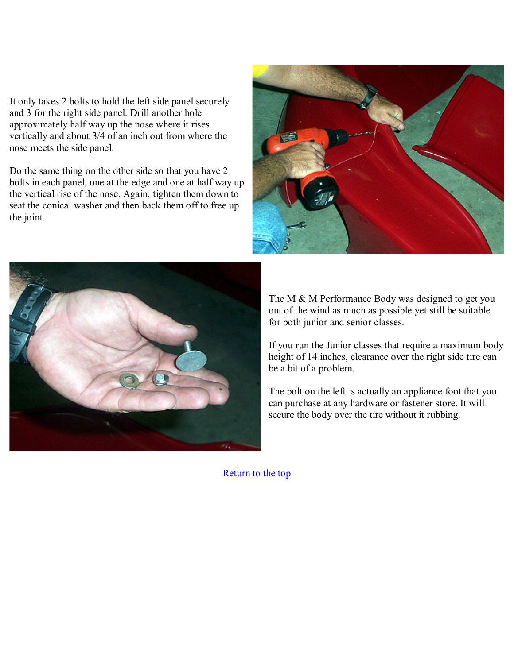It only takes 2 bolts to hold the left side panel securely and 3 for the right side panel. Drill another hole approximately half way up the nose where it rises vertically and about 3/4 of an inch out from where the nose meets the side panel.

Do the same thing on the other side so that you have 2 bolts in each panel, one at the edge and one at half way up the vertical rise of the nose. Again, tighten them down to seat the conical washer and then back them off to free up the joint.





The M & M Performance Body was designed to get you out of the wind as much as possible yet still be suitable for both junior and senior classes.

If you run the Junior classes that require a maximum body height of 14 inches, clearance over the right side tire can be a bit of a problem.

The bolt on the left is actually an appliance foot that you can purchase at any hardware or fastener store. It will secure the body over the tire without it rubbing.

[Return to the top](http://mandmperformance.com/mount.html#top)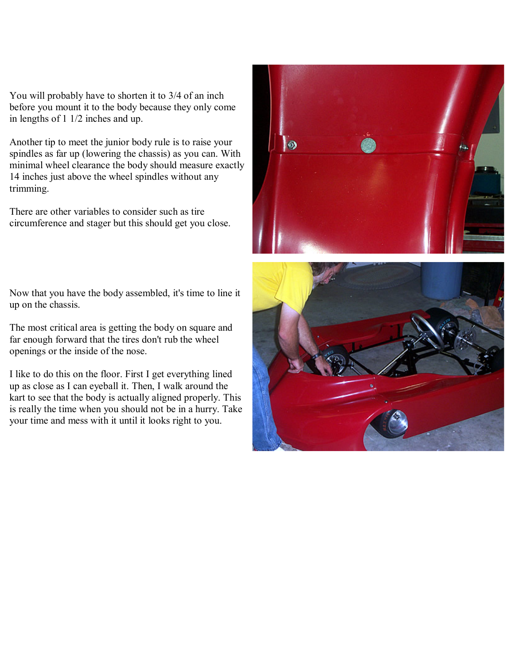You will probably have to shorten it to 3/4 of an inch before you mount it to the body because they only come in lengths of 1 1/2 inches and up.

Another tip to meet the junior body rule is to raise your spindles as far up (lowering the chassis) as you can. With minimal wheel clearance the body should measure exactly 14 inches just above the wheel spindles without any trimming.

There are other variables to consider such as tire circumference and stager but this should get you close.

Now that you have the body assembled, it's time to line it up on the chassis.

The most critical area is getting the body on square and far enough forward that the tires don't rub the wheel openings or the inside of the nose.

I like to do this on the floor. First I get everything lined up as close as I can eyeball it. Then, I walk around the kart to see that the body is actually aligned properly. This is really the time when you should not be in a hurry. Take your time and mess with it until it looks right to you.



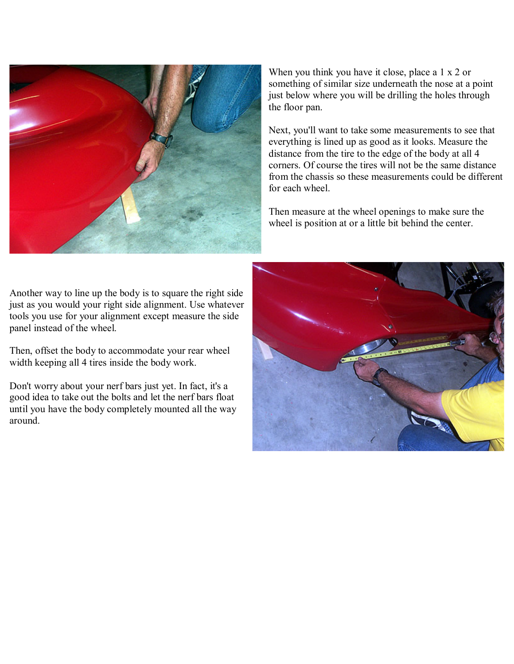

When you think you have it close, place a 1 x 2 or something of similar size underneath the nose at a point just below where you will be drilling the holes through the floor pan.

Next, you'll want to take some measurements to see that everything is lined up as good as it looks. Measure the distance from the tire to the edge of the body at all 4 corners. Of course the tires will not be the same distance from the chassis so these measurements could be different for each wheel.

Then measure at the wheel openings to make sure the wheel is position at or a little bit behind the center.

Another way to line up the body is to square the right side just as you would your right side alignment. Use whatever tools you use for your alignment except measure the side panel instead of the wheel.

Then, offset the body to accommodate your rear wheel width keeping all 4 tires inside the body work.

Don't worry about your nerf bars just yet. In fact, it's a good idea to take out the bolts and let the nerf bars float until you have the body completely mounted all the way around.

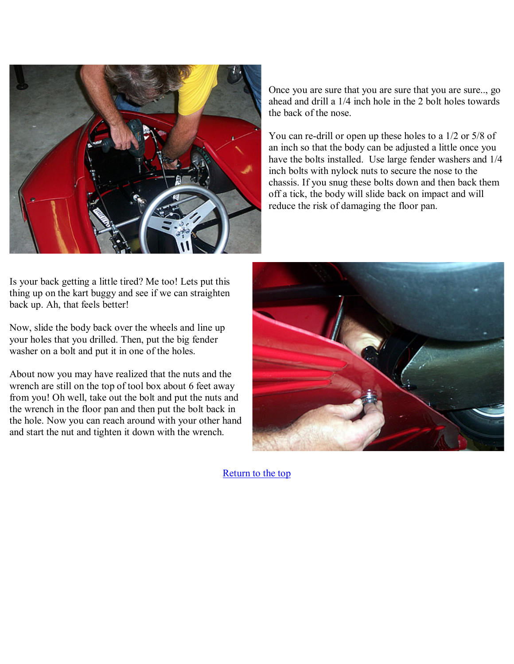

Once you are sure that you are sure that you are sure.., go ahead and drill a 1/4 inch hole in the 2 bolt holes towards the back of the nose.

You can re-drill or open up these holes to a 1/2 or 5/8 of an inch so that the body can be adjusted a little once you have the bolts installed. Use large fender washers and 1/4 inch bolts with nylock nuts to secure the nose to the chassis. If you snug these bolts down and then back them off a tick, the body will slide back on impact and will reduce the risk of damaging the floor pan.

Is your back getting a little tired? Me too! Lets put this thing up on the kart buggy and see if we can straighten back up. Ah, that feels better!

Now, slide the body back over the wheels and line up your holes that you drilled. Then, put the big fender washer on a bolt and put it in one of the holes.

About now you may have realized that the nuts and the wrench are still on the top of tool box about 6 feet away from you! Oh well, take out the bolt and put the nuts and the wrench in the floor pan and then put the bolt back in the hole. Now you can reach around with your other hand and start the nut and tighten it down with the wrench.



[Return to the top](http://mandmperformance.com/mount.html#top)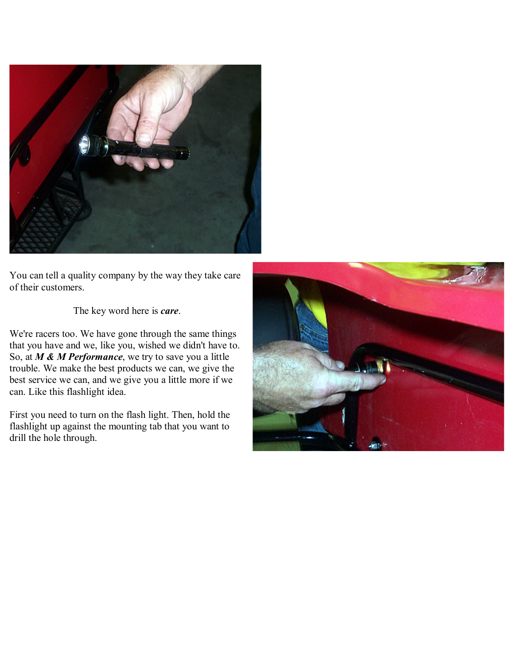

You can tell a quality company by the way they take care of their customers.

The key word here is *care*.

We're racers too. We have gone through the same things that you have and we, like you, wished we didn't have to. So, at *M & M Performance*, we try to save you a little trouble. We make the best products we can, we give the best service we can, and we give you a little more if we can. Like this flashlight idea.

First you need to turn on the flash light. Then, hold the flashlight up against the mounting tab that you want to drill the hole through.

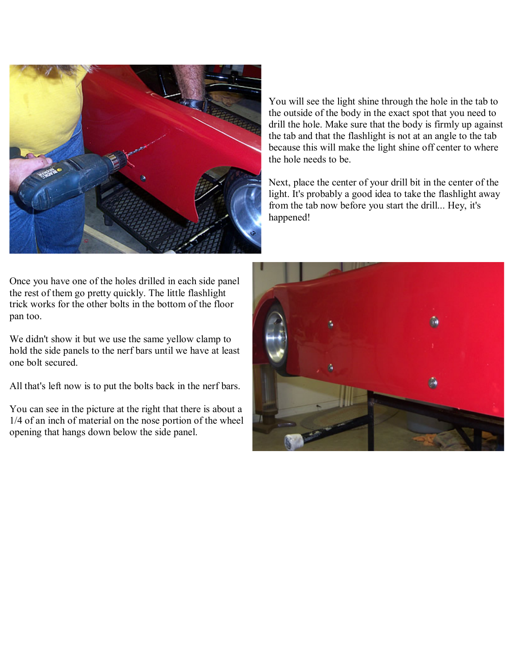

You will see the light shine through the hole in the tab to the outside of the body in the exact spot that you need to drill the hole. Make sure that the body is firmly up against the tab and that the flashlight is not at an angle to the tab because this will make the light shine off center to where the hole needs to be.

Next, place the center of your drill bit in the center of the light. It's probably a good idea to take the flashlight away from the tab now before you start the drill... Hey, it's happened!

Once you have one of the holes drilled in each side panel the rest of them go pretty quickly. The little flashlight trick works for the other bolts in the bottom of the floor pan too.

We didn't show it but we use the same yellow clamp to hold the side panels to the nerf bars until we have at least one bolt secured.

All that's left now is to put the bolts back in the nerf bars.

You can see in the picture at the right that there is about a 1/4 of an inch of material on the nose portion of the wheel opening that hangs down below the side panel.